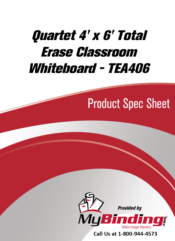# [Quartet 4' x 6' Total](https://www.mybinding.com/quartet-total-erase-classroom-whiteboard.html?sku=QRT-TEA406)  Erase Classroom Whiteboard - TEA406

## Product Spec Sheet



Call Us at 1-800-944-4573